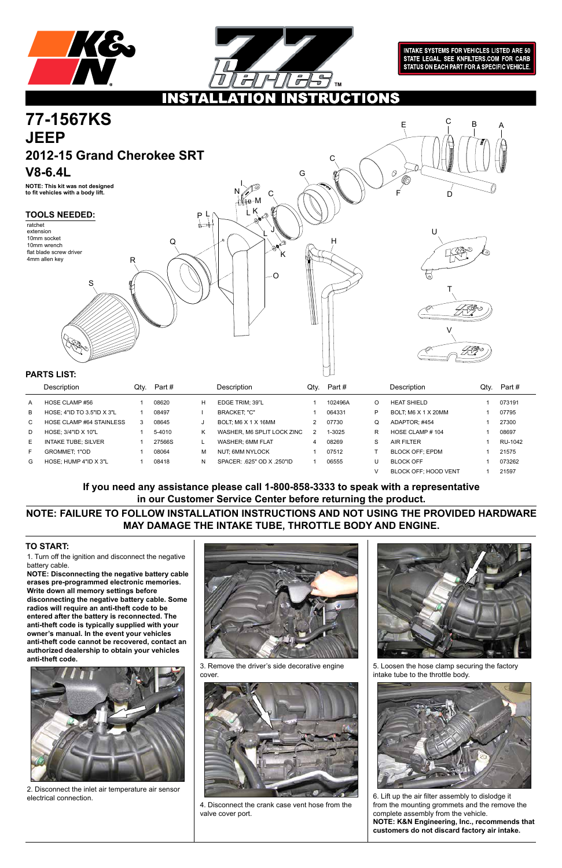



**INTAKE SYSTEMS FOR VEHICLES LISTED ARE 50** STATE LEGAL. SEE KNFILTERS.COM FOR CARB STATUS ON EACH PART FOR A SPECIFIC VEHICLE.

### **UCTIONS** 11.1511

1. Turn off the ignition and disconnect the negative battery cable.

**NOTE: Disconnecting the negative battery cable erases pre-programmed electronic memories. Write down all memory settings before disconnecting the negative battery cable. Some radios will require an anti-theft code to be entered after the battery is reconnected. The anti-theft code is typically supplied with your owner's manual. In the event your vehicles anti-theft code cannot be recovered, contact an authorized dealership to obtain your vehicles anti-theft code.**





### **TO START:**



|    | Description                     | Qty. | Part # |    | Description                | Qtv. | Part #  |   | Description                 | Qtv. | Part #  |
|----|---------------------------------|------|--------|----|----------------------------|------|---------|---|-----------------------------|------|---------|
| A  | HOSE CLAMP #56                  |      | 08620  | H  | EDGE TRIM: 39"L            |      | 102496A | O | <b>HEAT SHIELD</b>          |      | 073191  |
| B  | HOSE: 4"ID TO 3.5"ID X 3"L      |      | 08497  |    | <b>BRACKET: "C"</b>        |      | 064331  | P | BOLT; M6 X 1 X 20MM         |      | 07795   |
| C. | <b>HOSE CLAMP #64 STAINLESS</b> | 3    | 08645  |    | BOLT; M6 X 1 X 16MM        |      | 07730   | Q | ADAPTOR: #454               |      | 27300   |
| D  | HOSE: $3/4$ "ID X 10"L          |      | 5-4010 | ĸ. | WASHER, M6 SPLIT LOCK ZINC |      | 1-3025  | R | HOSE CLAMP #104             |      | 08697   |
| E. | <b>INTAKE TUBE: SILVER</b>      |      | 27566S |    | WASHER: 6MM FLAT           | 4    | 08269   | S | <b>AIR FILTER</b>           |      | RU-1042 |
| F. | <b>GROMMET: 1"OD</b>            |      | 08064  | М  | NUT: 6MM NYLOCK            |      | 07512   |   | <b>BLOCK OFF: EPDM</b>      |      | 21575   |
| G  | HOSE: HUMP 4"ID X 3"L           |      | 08418  | N  | SPACER 625" OD X 250"ID    |      | 06555   |   | <b>BLOCK OFF</b>            |      | 073262  |
|    |                                 |      |        |    |                            |      |         |   | <b>BLOCK OFF: HOOD VENT</b> |      | 21597   |



2. Disconnect the inlet air temperature air sensor electrical connection.

3. Remove the driver's side decorative engine cover.



4. Disconnect the crank case vent hose from the valve cover port.

5. Loosen the hose clamp securing the factory intake tube to the throttle body.



6. Lift up the air filter assembly to dislodge it from the mounting grommets and the remove the complete assembly from the vehicle. **NOTE: K&N Engineering, Inc., recommends that customers do not discard factory air intake.**

**NOTE: FAILURE TO FOLLOW INSTALLATION INSTRUCTIONS AND NOT USING THE PROVIDED HARDWARE MAY DAMAGE THE INTAKE TUBE, THROTTLE BODY AND ENGINE.**

**If you need any assistance please call 1-800-858-3333 to speak with a representative in our Customer Service Center before returning the product.**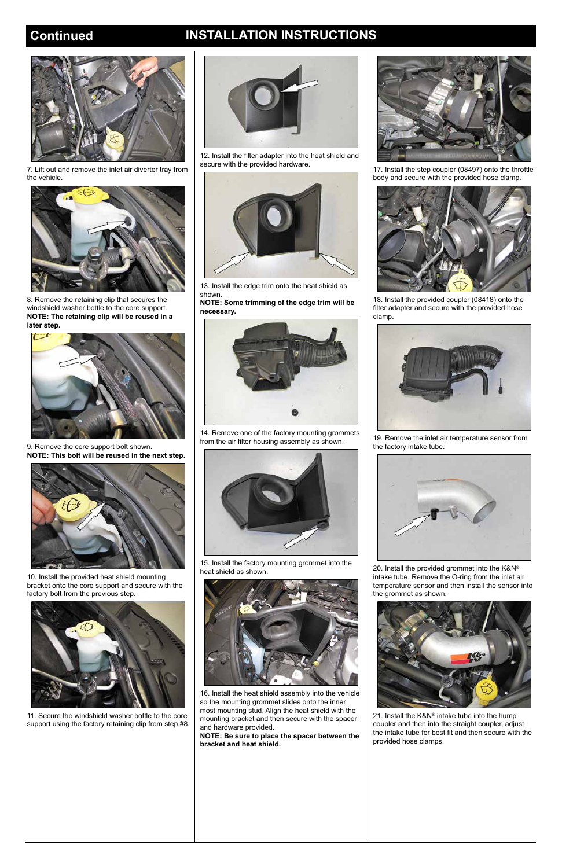# **Continued INSTALLATION INSTRUCTIONS**



7. Lift out and remove the inlet air diverter tray from the vehicle.



8. Remove the retaining clip that secures the windshield washer bottle to the core support. **NOTE: The retaining clip will be reused in a later step.**



9. Remove the core support bolt shown. **NOTE: This bolt will be reused in the next step.**



10. Install the provided heat shield mounting bracket onto the core support and secure with the factory bolt from the previous step.



11. Secure the windshield washer bottle to the core support using the factory retaining clip from step #8.



12. Install the filter adapter into the heat shield and secure with the provided hardware.



13. Install the edge trim onto the heat shield as shown.

**NOTE: Some trimming of the edge trim will be necessary.**



14. Remove one of the factory mounting grommets from the air filter housing assembly as shown.



15. Install the factory mounting grommet into the heat shield as shown.



16. Install the heat shield assembly into the vehicle so the mounting grommet slides onto the inner most mounting stud. Align the heat shield with the mounting bracket and then secure with the spacer and hardware provided.

**NOTE: Be sure to place the spacer between the bracket and heat shield.**



17. Install the step coupler (08497) onto the throttle body and secure with the provided hose clamp.



18. Install the provided coupler (08418) onto the filter adapter and secure with the provided hose clamp.



19. Remove the inlet air temperature sensor from the factory intake tube.



20. Install the provided grommet into the K&N® intake tube. Remove the O-ring from the inlet air temperature sensor and then install the sensor into the grommet as shown.



21. Install the K&N® intake tube into the hump coupler and then into the straight coupler, adjust the intake tube for best fit and then secure with the provided hose clamps.